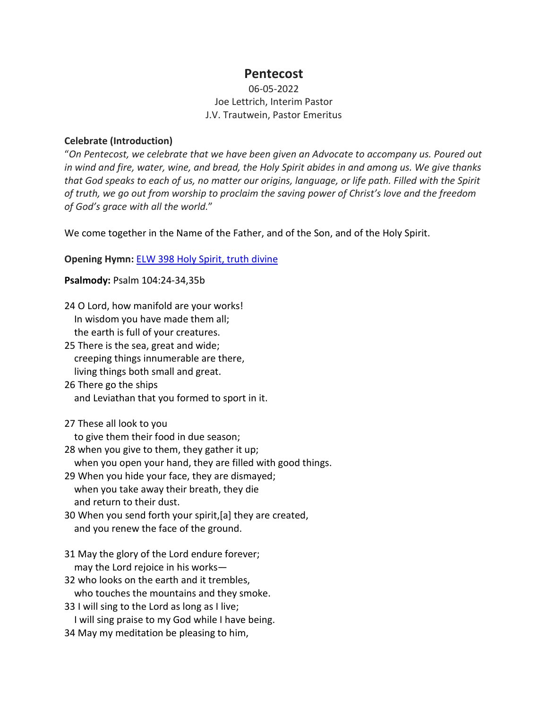# **Pentecost**

## 06-05-2022 Joe Lettrich, Interim Pastor J.V. Trautwein, Pastor Emeritus

### **Celebrate (Introduction)**

"*On Pentecost, we celebrate that we have been given an Advocate to accompany us. Poured out in wind and fire, water, wine, and bread, the Holy Spirit abides in and among us. We give thanks that God speaks to each of us, no matter our origins, language, or life path. Filled with the Spirit of truth, we go out from worship to proclaim the saving power of Christ's love and the freedom of God's grace with all the world.*"

We come together in the Name of the Father, and of the Son, and of the Holy Spirit.

**Opening Hymn:** [ELW 398 Holy Spirit, truth divine](https://www.youtube.com/watch?v=d-l3crMBYP8)

**Psalmody:** Psalm 104:24-34,35b

| 24 O Lord, how manifold are your works!                                                                    |  |
|------------------------------------------------------------------------------------------------------------|--|
| In wisdom you have made them all;                                                                          |  |
| the earth is full of your creatures.                                                                       |  |
| 25 There is the sea, great and wide;                                                                       |  |
| creeping things innumerable are there,                                                                     |  |
| living things both small and great.                                                                        |  |
| 26 There go the ships                                                                                      |  |
| and Leviathan that you formed to sport in it.                                                              |  |
| 27 These all look to you                                                                                   |  |
| to give them their food in due season;                                                                     |  |
| 28 when you give to them, they gather it up;<br>when you open your hand, they are filled with good things. |  |
| 29 When you hide your face, they are dismayed;                                                             |  |
| when you take away their breath, they die                                                                  |  |
| and return to their dust.                                                                                  |  |
| 30 When you send forth your spirit, [a] they are created,                                                  |  |
| and you renew the face of the ground.                                                                      |  |
| 31 May the glory of the Lord endure forever;                                                               |  |
| may the Lord rejoice in his works-                                                                         |  |
| 32 who looks on the earth and it trembles,                                                                 |  |
| who touches the mountains and they smoke.                                                                  |  |
| 33 I will sing to the Lord as long as I live;                                                              |  |
| I will sing praise to my God while I have being.                                                           |  |
| 34 May my meditation be pleasing to him,                                                                   |  |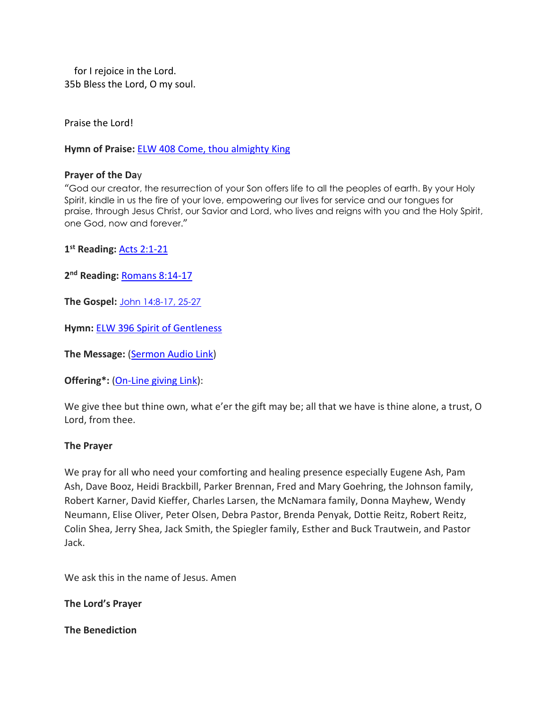for I rejoice in the Lord. 35b Bless the Lord, O my soul.

Praise the Lord!

**Hymn of Praise:** [ELW 408 Come, thou almighty King](https://www.youtube.com/watch?v=mgzRB4gEPf4)

### **Prayer of the Da**y

"God our creator, the resurrection of your Son offers life to all the peoples of earth. By your Holy Spirit, kindle in us the fire of your love, empowering our lives for service and our tongues for praise, through Jesus Christ, our Savior and Lord, who lives and reigns with you and the Holy Spirit, one God, now and forever."

**1st Reading:** [Acts 2:1-21](https://www.biblegateway.com/passage/?search=Acts+2%3A1-21&version=NRSVUE)

**2nd Reading:** [Romans 8:14-17](https://www.biblegateway.com/passage/?search=Romans+8%3A14-17&version=NRSVUE)

**The Gospel:** [John 14:8-17, 25-27](https://www.biblegateway.com/passage/?search=John+14%3A8-17%2C+25-27&version=NRSVUE)

**Hymn:** [ELW 396 Spirit of Gentleness](https://www.youtube.com/watch?v=R24XFFm-5YE)

**The Message:** [\(Sermon Audio](https://www.epiphanylutherancolumbia.org/sermons/sermon_20220605.mp3) Link)

**Offering\*:** [\(On-Line giving Link\)](https://tithe.ly/give_new/www/#/tithely/give-one-time/2627291):

We give thee but thine own, what e'er the gift may be; all that we have is thine alone, a trust, O Lord, from thee.

### **The Prayer**

We pray for all who need your comforting and healing presence especially Eugene Ash, Pam Ash, Dave Booz, Heidi Brackbill, Parker Brennan, Fred and Mary Goehring, the Johnson family, Robert Karner, David Kieffer, Charles Larsen, the McNamara family, Donna Mayhew, Wendy Neumann, Elise Oliver, Peter Olsen, Debra Pastor, Brenda Penyak, Dottie Reitz, Robert Reitz, Colin Shea, Jerry Shea, Jack Smith, the Spiegler family, Esther and Buck Trautwein, and Pastor Jack.

We ask this in the name of Jesus. Amen

**The Lord's Prayer**

**The Benediction**